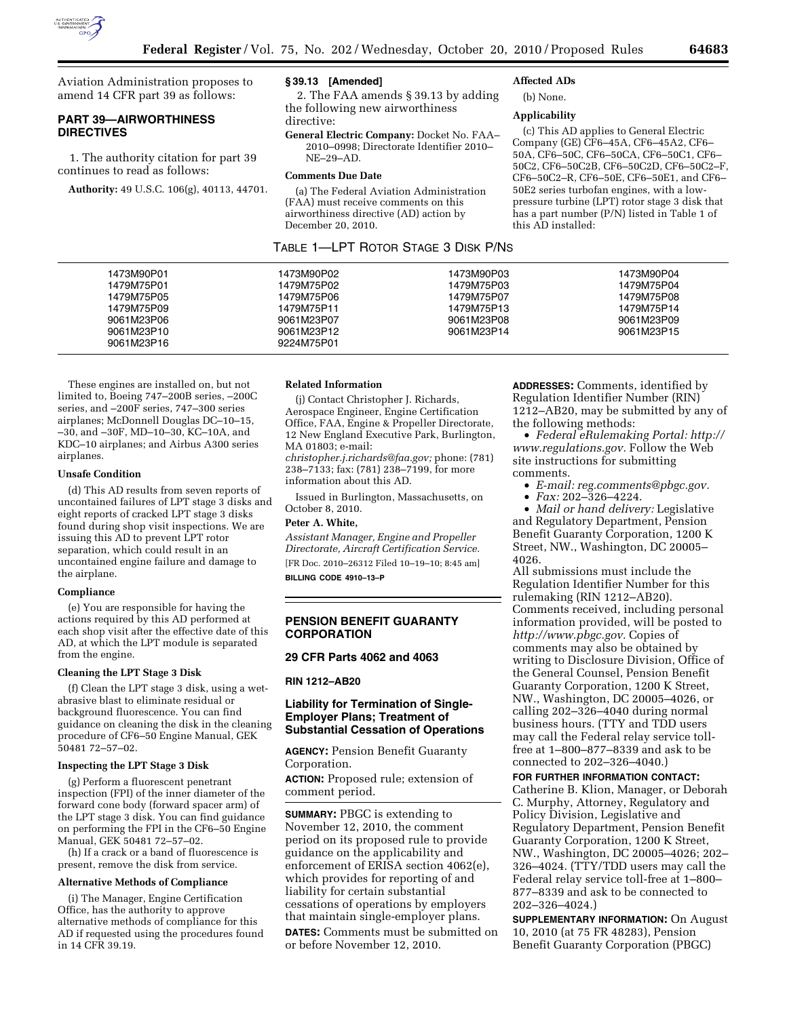

Aviation Administration proposes to amend 14 CFR part 39 as follows:

# **PART 39—AIRWORTHINESS DIRECTIVES**

1. The authority citation for part 39 continues to read as follows:

**Authority:** 49 U.S.C. 106(g), 40113, 44701.

### **§ 39.13 [Amended]**

2. The FAA amends § 39.13 by adding the following new airworthiness directive:

**General Electric Company:** Docket No. FAA– 2010–0998; Directorate Identifier 2010– NE–29–AD.

## **Comments Due Date**

(a) The Federal Aviation Administration (FAA) must receive comments on this airworthiness directive (AD) action by December 20, 2010.

# TABLE 1—LPT ROTOR STAGE 3 DISK P/NS

### **Affected ADs**  (b) None.

# **Applicability**

(c) This AD applies to General Electric Company (GE) CF6–45A, CF6–45A2, CF6– 50A, CF6–50C, CF6–50CA, CF6–50C1, CF6– 50C2, CF6–50C2B, CF6–50C2D, CF6–50C2–F, CF6–50C2–R, CF6–50E, CF6–50E1, and CF6– 50E2 series turbofan engines, with a lowpressure turbine (LPT) rotor stage 3 disk that has a part number (P/N) listed in Table 1 of this AD installed:

| 1473M90P01 | 1473M90P02 | 1473M90P03 | 1473M90P04 |
|------------|------------|------------|------------|
| 1479M75P01 | 1479M75P02 | 1479M75P03 | 1479M75P04 |
| 1479M75P05 | 1479M75P06 | 1479M75P07 | 1479M75P08 |
| 1479M75P09 | 1479M75P11 | 1479M75P13 | 1479M75P14 |
| 9061M23P06 | 9061M23P07 | 9061M23P08 | 9061M23P09 |
| 9061M23P10 | 9061M23P12 | 9061M23P14 | 9061M23P15 |
| 9061M23P16 | 9224M75P01 |            |            |
|            |            |            |            |

These engines are installed on, but not limited to, Boeing 747–200B series, –200C series, and –200F series, 747–300 series airplanes; McDonnell Douglas DC–10–15, –30, and –30F, MD–10–30, KC–10A, and KDC–10 airplanes; and Airbus A300 series airplanes.

#### **Unsafe Condition**

(d) This AD results from seven reports of uncontained failures of LPT stage 3 disks and eight reports of cracked LPT stage 3 disks found during shop visit inspections. We are issuing this AD to prevent LPT rotor separation, which could result in an uncontained engine failure and damage to the airplane.

#### **Compliance**

(e) You are responsible for having the actions required by this AD performed at each shop visit after the effective date of this AD, at which the LPT module is separated from the engine.

#### **Cleaning the LPT Stage 3 Disk**

(f) Clean the LPT stage 3 disk, using a wetabrasive blast to eliminate residual or background fluorescence. You can find guidance on cleaning the disk in the cleaning procedure of CF6–50 Engine Manual, GEK 50481 72–57–02.

#### **Inspecting the LPT Stage 3 Disk**

(g) Perform a fluorescent penetrant inspection (FPI) of the inner diameter of the forward cone body (forward spacer arm) of the LPT stage 3 disk. You can find guidance on performing the FPI in the CF6–50 Engine Manual, GEK 50481 72–57–02.

(h) If a crack or a band of fluorescence is present, remove the disk from service.

### **Alternative Methods of Compliance**

(i) The Manager, Engine Certification Office, has the authority to approve alternative methods of compliance for this AD if requested using the procedures found in 14 CFR 39.19.

#### **Related Information**

(j) Contact Christopher J. Richards, Aerospace Engineer, Engine Certification Office, FAA, Engine & Propeller Directorate, 12 New England Executive Park, Burlington, MA 01803; e-mail: *[christopher.j.richards@faa.gov;](mailto:christopher.j.richards@faa.gov)* phone: (781)

238–7133; fax: (781) 238–7199, for more information about this AD.

Issued in Burlington, Massachusetts, on October 8, 2010.

#### **Peter A. White,**

*Assistant Manager, Engine and Propeller Directorate, Aircraft Certification Service.*  [FR Doc. 2010–26312 Filed 10–19–10; 8:45 am] **BILLING CODE 4910–13–P** 

### **PENSION BENEFIT GUARANTY CORPORATION**

### **29 CFR Parts 4062 and 4063**

### **RIN 1212–AB20**

### **Liability for Termination of Single-Employer Plans; Treatment of Substantial Cessation of Operations**

**AGENCY:** Pension Benefit Guaranty Corporation.

**ACTION:** Proposed rule; extension of comment period.

**SUMMARY:** PBGC is extending to November 12, 2010, the comment period on its proposed rule to provide guidance on the applicability and enforcement of ERISA section 4062(e), which provides for reporting of and liability for certain substantial cessations of operations by employers that maintain single-employer plans.

**DATES:** Comments must be submitted on or before November 12, 2010.

**ADDRESSES:** Comments, identified by Regulation Identifier Number (RIN) 1212–AB20, may be submitted by any of the following methods:

• *Federal eRulemaking Portal: [http://](http://www.regulations.gov)  [www.regulations.gov.](http://www.regulations.gov)* Follow the Web site instructions for submitting comments.

- *E-mail: [reg.comments@pbgc.gov.](mailto:reg.comments@pbgc.gov)*
- *Fax:* 202–326–4224.

• *Mail or hand delivery:* Legislative and Regulatory Department, Pension Benefit Guaranty Corporation, 1200 K Street, NW., Washington, DC 20005– 4026.

All submissions must include the Regulation Identifier Number for this rulemaking (RIN 1212–AB20). Comments received, including personal information provided, will be posted to *[http://www.pbgc.gov.](http://www.pbgc.gov)* Copies of comments may also be obtained by writing to Disclosure Division, Office of the General Counsel, Pension Benefit Guaranty Corporation, 1200 K Street, NW., Washington, DC 20005–4026, or calling 202–326–4040 during normal business hours. (TTY and TDD users may call the Federal relay service tollfree at 1–800–877–8339 and ask to be connected to 202–326–4040.)

### **FOR FURTHER INFORMATION CONTACT:**

Catherine B. Klion, Manager, or Deborah C. Murphy, Attorney, Regulatory and Policy Division, Legislative and Regulatory Department, Pension Benefit Guaranty Corporation, 1200 K Street, NW., Washington, DC 20005–4026; 202– 326–4024. (TTY/TDD users may call the Federal relay service toll-free at 1–800– 877–8339 and ask to be connected to 202–326–4024.)

**SUPPLEMENTARY INFORMATION:** On August 10, 2010 (at 75 FR 48283), Pension Benefit Guaranty Corporation (PBGC)